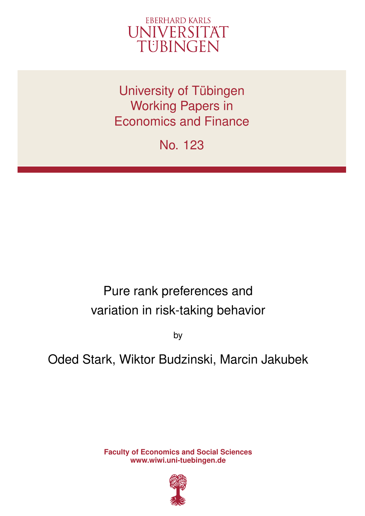

University of Tübingen Working Papers in Economics and Finance

No. 123

# Pure rank preferences and variation in risk-taking behavior

by

## Oded Stark, Wiktor Budzinski, Marcin Jakubek

**Faculty of Economics and Social Sciences www.wiwi.uni-tuebingen.de**

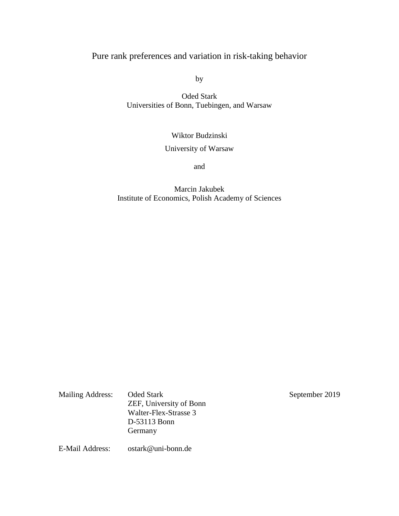## Pure rank preferences and variation in risk-taking behavior

by

Oded Stark Universities of Bonn, Tuebingen, and Warsaw

Wiktor Budzinski

## University of Warsaw

and

### Marcin Jakubek Institute of Economics, Polish Academy of Sciences

Mailing Address: Oded Stark September 2019 ZEF, University of Bonn Walter-Flex-Strasse 3 D-53113 Bonn Germany

E-Mail Address: [ostark@uni-bonn.de](mailto:ostark@uni-bonn.de)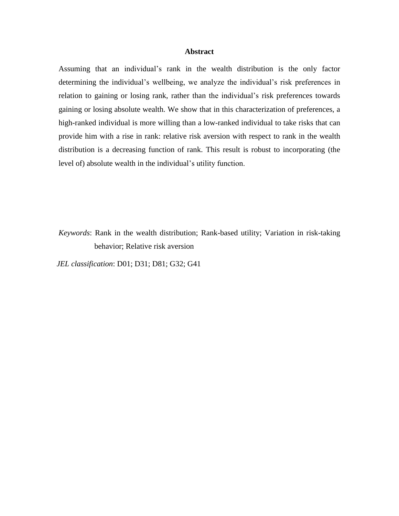#### **Abstract**

Assuming that an individual's rank in the wealth distribution is the only factor determining the individual's wellbeing, we analyze the individual's risk preferences in relation to gaining or losing rank, rather than the individual's risk preferences towards gaining or losing absolute wealth. We show that in this characterization of preferences, a high-ranked individual is more willing than a low-ranked individual to take risks that can provide him with a rise in rank: relative risk aversion with respect to rank in the wealth distribution is a decreasing function of rank. This result is robust to incorporating (the level of) absolute wealth in the individual's utility function.

*Keywords*: Rank in the wealth distribution; Rank-based utility; Variation in risk-taking behavior; Relative risk aversion

*JEL classification*: D01; D31; D81; G32; G41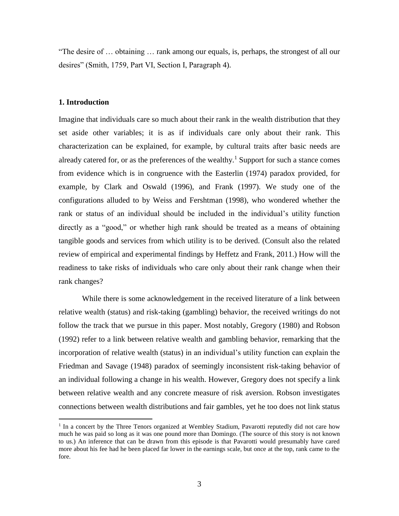"The desire of … obtaining … rank among our equals, is, perhaps, the strongest of all our desires" (Smith, 1759, Part VI, Section I, Paragraph 4).

#### **1. Introduction**

 $\overline{a}$ 

Imagine that individuals care so much about their rank in the wealth distribution that they set aside other variables; it is as if individuals care only about their rank. This characterization can be explained, for example, by cultural traits after basic needs are already catered for, or as the preferences of the wealthy.<sup>1</sup> Support for such a stance comes from evidence which is in congruence with the Easterlin (1974) paradox provided, for example, by Clark and Oswald (1996), and Frank (1997). We study one of the configurations alluded to by Weiss and Fershtman (1998), who wondered whether the rank or status of an individual should be included in the individual's utility function directly as a "good," or whether high rank should be treated as a means of obtaining tangible goods and services from which utility is to be derived. (Consult also the related review of empirical and experimental findings by Heffetz and Frank, 2011.) How will the readiness to take risks of individuals who care only about their rank change when their rank changes?

While there is some acknowledgement in the received literature of a link between relative wealth (status) and risk-taking (gambling) behavior, the received writings do not follow the track that we pursue in this paper. Most notably, Gregory (1980) and Robson (1992) refer to a link between relative wealth and gambling behavior, remarking that the incorporation of relative wealth (status) in an individual's utility function can explain the Friedman and Savage (1948) paradox of seemingly inconsistent risk-taking behavior of an individual following a change in his wealth. However, Gregory does not specify a link between relative wealth and any concrete measure of risk aversion. Robson investigates connections between wealth distributions and fair gambles, yet he too does not link status

<sup>&</sup>lt;sup>1</sup> In a concert by the Three Tenors organized at Wembley Stadium, Pavarotti reputedly did not care how much he was paid so long as it was one pound more than Domingo. (The source of this story is not known to us.) An inference that can be drawn from this episode is that Pavarotti would presumably have cared more about his fee had he been placed far lower in the earnings scale, but once at the top, rank came to the fore.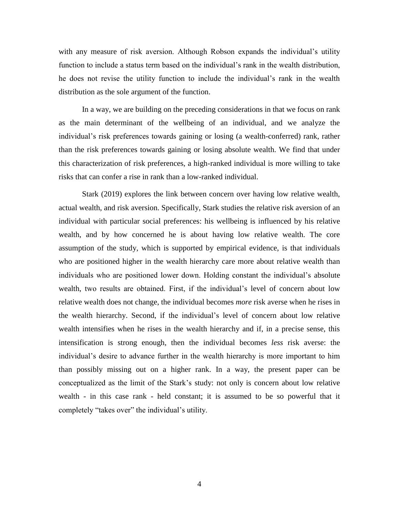with any measure of risk aversion. Although Robson expands the individual's utility function to include a status term based on the individual's rank in the wealth distribution, he does not revise the utility function to include the individual's rank in the wealth distribution as the sole argument of the function.

In a way, we are building on the preceding considerations in that we focus on rank as the main determinant of the wellbeing of an individual, and we analyze the individual's risk preferences towards gaining or losing (a wealth-conferred) rank, rather than the risk preferences towards gaining or losing absolute wealth. We find that under this characterization of risk preferences, a high-ranked individual is more willing to take risks that can confer a rise in rank than a low-ranked individual.

Stark (2019) explores the link between concern over having low relative wealth, actual wealth, and risk aversion. Specifically, Stark studies the relative risk aversion of an individual with particular social preferences: his wellbeing is influenced by his relative wealth, and by how concerned he is about having low relative wealth. The core assumption of the study, which is supported by empirical evidence, is that individuals who are positioned higher in the wealth hierarchy care more about relative wealth than individuals who are positioned lower down. Holding constant the individual's absolute wealth, two results are obtained. First, if the individual's level of concern about low relative wealth does not change, the individual becomes *more* risk averse when he rises in the wealth hierarchy. Second, if the individual's level of concern about low relative wealth intensifies when he rises in the wealth hierarchy and if, in a precise sense, this intensification is strong enough, then the individual becomes *less* risk averse: the individual's desire to advance further in the wealth hierarchy is more important to him than possibly missing out on a higher rank. In a way, the present paper can be conceptualized as the limit of the Stark's study: not only is concern about low relative wealth - in this case rank - held constant; it is assumed to be so powerful that it completely "takes over" the individual's utility.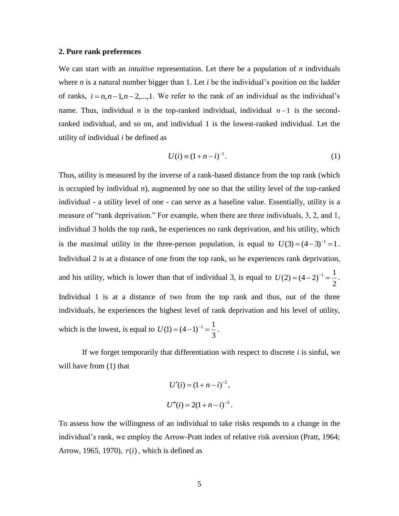#### **2. Pure rank preferences**

We can start with an *intuitive* representation. Let there be a population of *n* individuals where *n* is a natural number bigger than 1. Let *i* be the individual's position on the ladder of ranks,  $i = n, n-1, n-2,...,1$ . We refer to the rank of an individual as the individual's name. Thus, individual *n* is the top-ranked individual, individual  $n-1$  is the secondranked individual, and so on, and individual 1 is the lowest-ranked individual. Let the utility of individual *i* be defined as

$$
U(i) = (1 + n - i)^{-1}.
$$
 (1)

Thus, utility is measured by the inverse of a rank-based distance from the top rank (which is occupied by individual  $n$ ), augmented by one so that the utility level of the top-ranked individual - a utility level of one - can serve as a baseline value. Essentially, utility is a measure of "rank deprivation." For example, when there are three individuals, 3, 2, and 1, individual 3 holds the top rank, he experiences no rank deprivation, and his utility, which is the maximal utility in the three-person population, is equal to  $U(3) = (4-3)^{-1} = 1$ . Individual 2 is at a distance of one from the top rank, so he experiences rank deprivation, and his utility, which is lower than that of individual 3, is equal to  $U(2) = (4-2)^{-1} = \frac{1}{2}$ 2  $U(2) = (4-2)^{-1} = \frac{1}{2}$ . Individual 1 is at a distance of two from the top rank and thus, out of the three individuals, he experiences the highest level of rank deprivation and his level of utility, which is the lowest, is equal to  $U(1) = (4-1)^{-1} = \frac{1}{2}$ 3  $U(1) = (4-1)^{-1} = \frac{1}{2}$ .

If we forget temporarily that differentiation with respect to discrete *i* is sinful, we will have from  $(1)$  that

$$
U'(i) = (1 + n - i)^{-2},
$$
  

$$
U''(i) = 2(1 + n - i)^{-3}.
$$

To assess how the willingness of an individual to take risks responds to a change in the individual's rank, we employ the Arrow-Pratt index of relative risk aversion (Pratt, 1964; Arrow, 1965, 1970),  $r(i)$ , which is defined as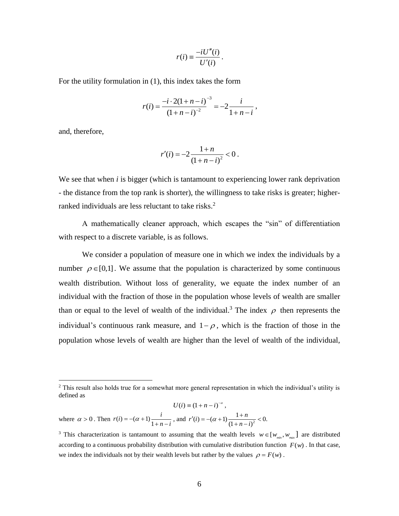$$
r(i) \equiv \frac{-iU''(i)}{U'(i)}.
$$

For the utility formulation in (1), this index takes the form

$$
r(i) = \frac{-i \cdot 2(1 + n - i)}{(1 + n - i)^{-2}} = -2 \frac{i}{1 + n - i},
$$

and, therefore,

 $\overline{a}$ 

$$
r'(i) = -2 \frac{1+n}{(1+n-i)^2} < 0 \, .
$$

We see that when *i* is bigger (which is tantamount to experiencing lower rank deprivation - the distance from the top rank is shorter), the willingness to take risks is greater; higherranked individuals are less reluctant to take risks.<sup>2</sup>

A mathematically cleaner approach, which escapes the "sin" of differentiation with respect to a discrete variable, is as follows.

We consider a population of measure one in which we index the individuals by a number  $\rho \in [0,1]$ . We assume that the population is characterized by some continuous wealth distribution. Without loss of generality, we equate the index number of an individual with the fraction of those in the population whose levels of wealth are smaller than or equal to the level of wealth of the individual.<sup>3</sup> The index  $\rho$  then represents the individual's continuous rank measure, and  $1-\rho$ , which is the fraction of those in the population whose levels of wealth are higher than the level of wealth of the individual,

$$
U(i) = (1 + n - i)^{-\alpha},
$$
  
where  $\alpha > 0$ . Then  $r(i) = -(\alpha + 1) \frac{i}{1 + n - i}$ , and  $r'(i) = -(\alpha + 1) \frac{1 + n}{(1 + n - i)^2} < 0$ .

<sup>&</sup>lt;sup>2</sup> This result also holds true for a somewhat more general representation in which the individual's utility is defined as

<sup>&</sup>lt;sup>3</sup> This characterization is tantamount to assuming that the wealth levels  $w \in [w_{min}, w_{max}]$  are distributed according to a continuous probability distribution with cumulative distribution function  $F(w)$ . In that case, we index the individuals not by their wealth levels but rather by the values  $\rho = F(w)$ .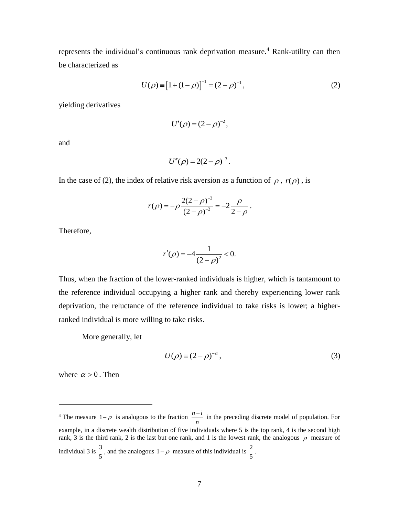represents the individual's continuous rank deprivation measure. <sup>4</sup> Rank-utility can then be characterized as

$$
U(\rho) \equiv [1 + (1 - \rho)]^{-1} = (2 - \rho)^{-1}, \qquad (2)
$$

yielding derivatives

$$
U'(\rho) = (2 - \rho)^{-2},
$$

and

$$
U''(\rho) = 2(2-\rho)^{-3}.
$$

In the case of (2), the index of relative risk aversion as a function of  $\rho$ ,  $r(\rho)$ , is

$$
r(\rho) = -\rho \frac{2(2-\rho)^{-3}}{(2-\rho)^{-2}} = -2\frac{\rho}{2-\rho}.
$$

Therefore,

$$
r'(\rho) = -4 \frac{1}{(2-\rho)^2} < 0.
$$

Thus, when the fraction of the lower-ranked individuals is higher, which is tantamount to the reference individual occupying a higher rank and thereby experiencing lower rank deprivation, the reluctance of the reference individual to take risks is lower; a higherranked individual is more willing to take risks.

More generally, let

$$
U(\rho) \equiv (2 - \rho)^{-\alpha},\tag{3}
$$

where  $\alpha > 0$ . Then

 $\overline{a}$ 

<sup>&</sup>lt;sup>4</sup> The measure  $1-\rho$  is analogous to the fraction  $\frac{n-i}{\sqrt{n}}$ *n*  $\frac{-i}{\cdot}$  in the preceding discrete model of population. For example, in a discrete wealth distribution of five individuals where 5 is the top rank, 4 is the second high rank, 3 is the third rank, 2 is the last but one rank, and 1 is the lowest rank, the analogous  $\rho$  measure of individual 3 is  $\frac{3}{7}$  $\frac{3}{5}$ , and the analogous  $1-\rho$  measure of this individual is  $\frac{2}{5}$  $\frac{2}{5}$ .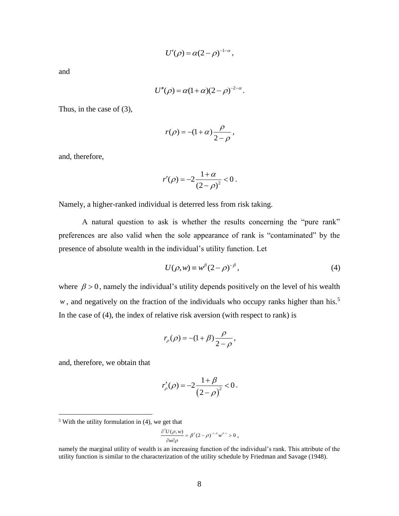$$
U'(\rho) = \alpha (2-\rho)^{-1-\alpha},
$$

and

$$
U''(\rho) = \alpha(1+\alpha)(2-\rho)^{-2-\alpha}.
$$

Thus, in the case of (3),

$$
r(\rho) = -(1+\alpha)\frac{\rho}{2-\rho},
$$

and, therefore,

$$
r'(\rho) = -2\frac{1+\alpha}{(2-\rho)^2} < 0.
$$

Namely, a higher-ranked individual is deterred less from risk taking.

A natural question to ask is whether the results concerning the "pure rank" preferences are also valid when the sole appearance of rank is "contaminated" by the presence of absolute wealth in the individual's utility function. Let

$$
U(\rho, w) \equiv w^{\beta} (2 - \rho)^{-\beta}, \qquad (4)
$$

where  $\beta > 0$ , namely the individual's utility depends positively on the level of his wealth w, and negatively on the fraction of the individuals who occupy ranks higher than his.<sup>5</sup> In the case of (4), the index of relative risk aversion (with respect to rank) is

$$
r_{\rho}(\rho) = -(1+\beta)\frac{\rho}{2-\rho},
$$

and, therefore, we obtain that

 $\overline{a}$ 

$$
r'_{\rho}(\rho) = -2\frac{1+\beta}{(2-\rho)^2} < 0.
$$

$$
\frac{\partial^2 U(\rho,w)}{\partial w \partial \rho} = \beta^2 (2-\rho)^{-1-\beta} w^{\beta-1} > 0 \; ,
$$

 $<sup>5</sup>$  With the utility formulation in (4), we get that</sup>

namely the marginal utility of wealth is an increasing function of the individual's rank. This attribute of the utility function is similar to the characterization of the utility schedule by Friedman and Savage (1948).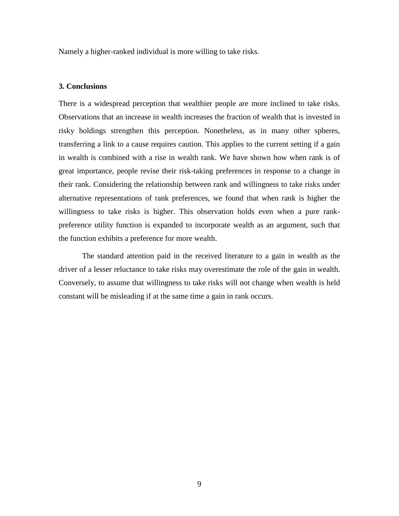Namely a higher-ranked individual is more willing to take risks.

#### **3. Conclusions**

There is a widespread perception that wealthier people are more inclined to take risks. Observations that an increase in wealth increases the fraction of wealth that is invested in risky holdings strengthen this perception. Nonetheless, as in many other spheres, transferring a link to a cause requires caution. This applies to the current setting if a gain in wealth is combined with a rise in wealth rank. We have shown how when rank is of great importance, people revise their risk-taking preferences in response to a change in their rank. Considering the relationship between rank and willingness to take risks under alternative representations of rank preferences, we found that when rank is higher the willingness to take risks is higher. This observation holds even when a pure rankpreference utility function is expanded to incorporate wealth as an argument, such that the function exhibits a preference for more wealth.

The standard attention paid in the received literature to a gain in wealth as the driver of a lesser reluctance to take risks may overestimate the role of the gain in wealth. Conversely, to assume that willingness to take risks will not change when wealth is held constant will be misleading if at the same time a gain in rank occurs.